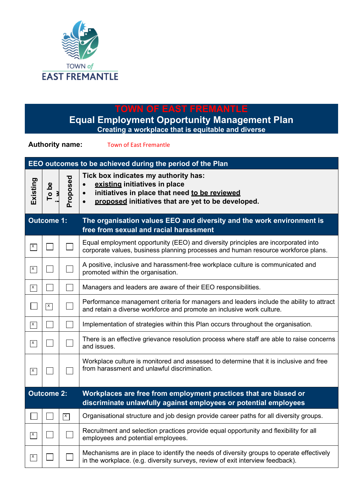

## **TOWN OF EAST FREMANTLE**

**Equal Employment Opportunity Management Plan Creating a workplace that is equitable and diverse**

**Authority name:** Town of East Fremantle

| EEO outcomes to be achieved during the period of the Plan |                  |                |                                                                                                                                                                                           |  |  |  |  |  |
|-----------------------------------------------------------|------------------|----------------|-------------------------------------------------------------------------------------------------------------------------------------------------------------------------------------------|--|--|--|--|--|
| Existing                                                  | $\frac{1}{2}$ be | Proposed       | Tick box indicates my authority has:<br>existing initiatives in place<br>initiatives in place that need to be reviewed<br>$\bullet$<br>proposed initiatives that are yet to be developed. |  |  |  |  |  |
| <b>Outcome 1:</b>                                         |                  |                | The organisation values EEO and diversity and the work environment is<br>free from sexual and racial harassment                                                                           |  |  |  |  |  |
| $\mathsf{X}$                                              |                  |                | Equal employment opportunity (EEO) and diversity principles are incorporated into<br>corporate values, business planning processes and human resource workforce plans.                    |  |  |  |  |  |
| $\mathsf{X}$                                              |                  |                | A positive, inclusive and harassment-free workplace culture is communicated and<br>promoted within the organisation.                                                                      |  |  |  |  |  |
| $\mathsf{X}$                                              |                  |                | Managers and leaders are aware of their EEO responsibilities.                                                                                                                             |  |  |  |  |  |
|                                                           | $\vert x \vert$  |                | Performance management criteria for managers and leaders include the ability to attract<br>and retain a diverse workforce and promote an inclusive work culture.                          |  |  |  |  |  |
| $\vert x \vert$                                           |                  |                | Implementation of strategies within this Plan occurs throughout the organisation.                                                                                                         |  |  |  |  |  |
| $\vert x \vert$                                           |                  |                | There is an effective grievance resolution process where staff are able to raise concerns<br>and issues.                                                                                  |  |  |  |  |  |
| $\mathsf{X}$                                              |                  |                | Workplace culture is monitored and assessed to determine that it is inclusive and free<br>from harassment and unlawful discrimination.                                                    |  |  |  |  |  |
| Outcome 2:                                                |                  |                | Workplaces are free from employment practices that are biased or<br>discriminate unlawfully against employees or potential employees                                                      |  |  |  |  |  |
|                                                           |                  | $\overline{X}$ | Organisational structure and job design provide career paths for all diversity groups.                                                                                                    |  |  |  |  |  |
| $\vert x \vert$                                           |                  |                | Recruitment and selection practices provide equal opportunity and flexibility for all<br>employees and potential employees.                                                               |  |  |  |  |  |
| $\mathsf{X}$                                              |                  |                | Mechanisms are in place to identify the needs of diversity groups to operate effectively<br>in the workplace. (e.g. diversity surveys, review of exit interview feedback).                |  |  |  |  |  |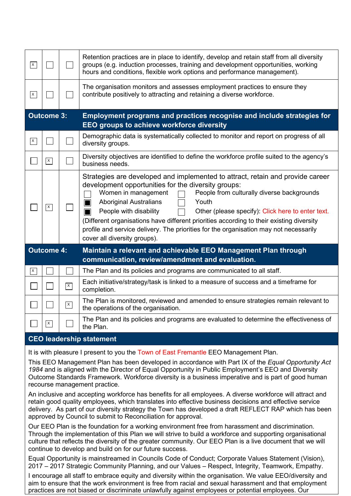| $\vert x \vert$   |                   |                      | Retention practices are in place to identify, develop and retain staff from all diversity<br>groups (e.g. induction processes, training and development opportunities, working<br>hours and conditions, flexible work options and performance management).                                                                                                                                                                                                                                                                                                          |  |  |  |  |
|-------------------|-------------------|----------------------|---------------------------------------------------------------------------------------------------------------------------------------------------------------------------------------------------------------------------------------------------------------------------------------------------------------------------------------------------------------------------------------------------------------------------------------------------------------------------------------------------------------------------------------------------------------------|--|--|--|--|
| $\sqrt{x}$        |                   |                      | The organisation monitors and assesses employment practices to ensure they<br>contribute positively to attracting and retaining a diverse workforce.                                                                                                                                                                                                                                                                                                                                                                                                                |  |  |  |  |
| <b>Outcome 3:</b> |                   |                      | Employment programs and practices recognise and include strategies for<br>EEO groups to achieve workforce diversity                                                                                                                                                                                                                                                                                                                                                                                                                                                 |  |  |  |  |
| $\vert x \vert$   |                   |                      | Demographic data is systematically collected to monitor and report on progress of all<br>diversity groups.                                                                                                                                                                                                                                                                                                                                                                                                                                                          |  |  |  |  |
|                   | $\mathsf{X}$      |                      | Diversity objectives are identified to define the workforce profile suited to the agency's<br>business needs.                                                                                                                                                                                                                                                                                                                                                                                                                                                       |  |  |  |  |
|                   | $\mathsf{X}$      |                      | Strategies are developed and implemented to attract, retain and provide career<br>development opportunities for the diversity groups:<br>People from culturally diverse backgrounds<br>Women in management<br><b>Aboriginal Australians</b><br>Youth<br>ГI<br>People with disability<br>Other (please specify): Click here to enter text.<br>H<br>(Different organisations have different priorities according to their existing diversity<br>profile and service delivery. The priorities for the organisation may not necessarily<br>cover all diversity groups). |  |  |  |  |
|                   | <b>Outcome 4:</b> |                      | Maintain a relevant and achievable EEO Management Plan through<br>communication, review/amendment and evaluation.                                                                                                                                                                                                                                                                                                                                                                                                                                                   |  |  |  |  |
| $\overline{x}$    |                   |                      | The Plan and its policies and programs are communicated to all staff.                                                                                                                                                                                                                                                                                                                                                                                                                                                                                               |  |  |  |  |
|                   |                   | $\vert x \vert$      | Each initiative/strategy/task is linked to a measure of success and a timeframe for<br>completion.                                                                                                                                                                                                                                                                                                                                                                                                                                                                  |  |  |  |  |
|                   |                   | $\boxed{\mathsf{x}}$ | The Plan is monitored, reviewed and amended to ensure strategies remain relevant to<br>the operations of the organisation.                                                                                                                                                                                                                                                                                                                                                                                                                                          |  |  |  |  |
|                   | $\mathsf{x}$      |                      | The Plan and its policies and programs are evaluated to determine the effectiveness of<br>the Plan.                                                                                                                                                                                                                                                                                                                                                                                                                                                                 |  |  |  |  |

## **CEO leadership statement**

It is with pleasure I present to you the Town of East Fremantle EEO Management Plan.

This EEO Management Plan has been developed in accordance with Part IX of the *Equal Opportunity Act 1984* and is aligned with the Director of Equal Opportunity in Public Employment's EEO and Diversity Outcome Standards Framework. Workforce diversity is a business imperative and is part of good human recourse management practice.

An inclusive and accepting workforce has benefits for all employees. A diverse workforce will attract and retain good quality employees, which translates into effective business decisions and effective service delivery. As part of our diversity strategy the Town has developed a draft REFLECT RAP which has been approved by Council to submit to Reconciliation for approval.

Our EEO Plan is the foundation for a working environment free from harassment and discrimination. Through the implementation of this Plan we will strive to build a workforce and supporting organisational culture that reflects the diversity of the greater community. Our EEO Plan is a live document that we will continue to develop and build on for our future success.

Equal Opportunity is mainstreamed in Councils Code of Conduct; Corporate Values Statement (Vision), 2017 – 2017 Strategic Community Planning, and our Values – Respect, Integrity, Teamwork, Empathy.

I encourage all staff to embrace equity and diversity within the organisation. We value EEO/diversity and aim to ensure that the work environment is free from racial and sexual harassment and that employment practices are not biased or discriminate unlawfully against employees or potential employees. Our